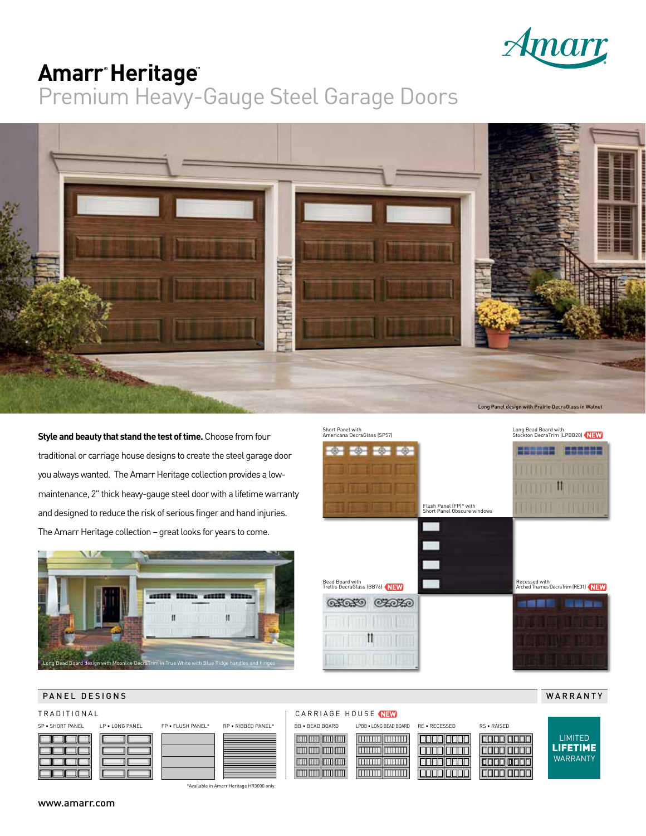

# $Amarr^*$ **Heritage**

Premium Heavy-Gauge Steel Garage Doors



**Style and beauty that stand the test of time.** Choose from four traditional or carriage house designs to create the steel garage door you always wanted. The Amarr Heritage collection provides a lowmaintenance, 2" thick heavy-gauge steel door with a lifetime warranty and designed to reduce the risk of serious finger and hand injuries. The Amarr Heritage collection – great looks for years to come.





WARRANTY

LIMITED

#### PANEL DESIGNS





\*Available in Amarr Heritage HR3000 only.

#### TRADITIONAL **CARRIAGE HOUSE**



www.amarr.com